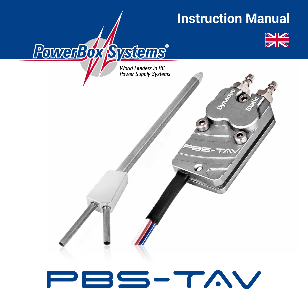# **Instruction Manual**



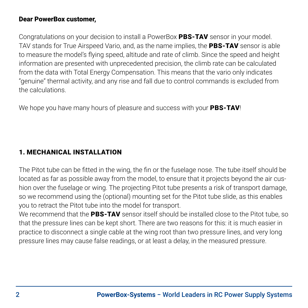#### Dear PowerBox customer,

Congratulations on your decision to install a PowerBox PBS-TAV sensor in your model. TAV stands for True Airspeed Vario, and, as the name implies, the PBS-TAV sensor is able to measure the model's flying speed, altitude and rate of climb. Since the speed and height information are presented with unprecedented precision, the climb rate can be calculated from the data with Total Energy Compensation. This means that the vario only indicates "genuine" thermal activity, and any rise and fall due to control commands is excluded from the calculations.

We hope you have many hours of pleasure and success with your **PBS-TAV!** 

#### 1. MECHANICAL INSTALLATION

The Pitot tube can be fitted in the wing, the fin or the fuselage nose. The tube itself should be located as far as possible away from the model, to ensure that it projects beyond the air cushion over the fuselage or wing. The projecting Pitot tube presents a risk of transport damage, so we recommend using the (optional) mounting set for the Pitot tube slide, as this enables you to retract the Pitot tube into the model for transport.

We recommend that the PBS-TAV sensor itself should be installed close to the Pitot tube, so that the pressure lines can be kept short. There are two reasons for this: it is much easier in practice to disconnect a single cable at the wing root than two pressure lines, and very long pressure lines may cause false readings, or at least a delay, in the measured pressure.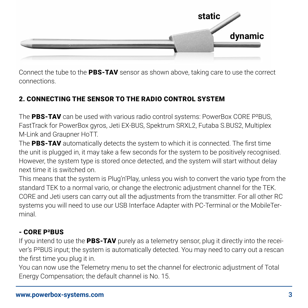

Connect the tube to the PBS-TAV sensor as shown above, taking care to use the correct connections.

# 2. CONNECTING THE SENSOR TO THE RADIO CONTROL SYSTEM

The PBS-TAV can be used with various radio control systems: PowerBox CORE P<sup>2</sup>BUS, FastTrack for PowerBox gyros, Jeti EX-BUS, Spektrum SRXL2, Futaba S.BUS2, Multiplex M-Link and Graupner HoTT.

The PBS-TAV automatically detects the system to which it is connected. The first time the unit is plugged in, it may take a few seconds for the system to be positively recognised. However, the system type is stored once detected, and the system will start without delay next time it is switched on.

This means that the system is Plug'n'Play, unless you wish to convert the vario type from the standard TEK to a normal vario, or change the electronic adjustment channel for the TEK. CORE and Jeti users can carry out all the adjustments from the transmitter. For all other RC systems you will need to use our USB Interface Adapter with PC-Terminal or the MobileTerminal.

# - CORE P²BUS

If you intend to use the PBS-TAV purely as a telemetry sensor, plug it directly into the receiver's P²BUS input; the system is automatically detected. You may need to carry out a rescan the first time you plug it in.

You can now use the Telemetry menu to set the channel for electronic adjustment of Total Energy Compensation; the default channel is No. 15.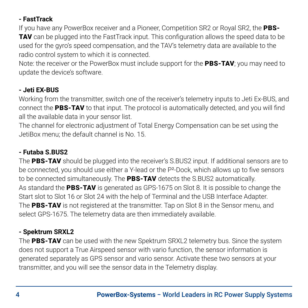# **- FastTrack**

If you have any PowerBox receiver and a Pioneer, Competition SR2 or Royal SR2, the PBS-TAV can be plugged into the FastTrack input. This configuration allows the speed data to be used for the gyro's speed compensation, and the TAV's telemetry data are available to the radio control system to which it is connected.

Note: the receiver or the PowerBox must include support for the **PBS-TAV**; you may need to update the device's software.

#### **- Jeti EX-BUS**

Working from the transmitter, switch one of the receiver's telemetry inputs to Jeti Ex-BUS, and connect the PBS-TAV to that input. The protocol is automatically detected, and you will find all the available data in your sensor list.

The channel for electronic adjustment of Total Energy Compensation can be set using the JetiBox menu; the default channel is No. 15.

#### **- Futaba S.BUS2**

The PBS-TAV should be plugged into the receiver's S.BUS2 input. If additional sensors are to be connected, you should use either a Y-lead or the P<sup>2</sup>-Dock, which allows up to five sensors to be connected simultaneously. The **PBS-TAV** detects the S.BUS2 automatically. As standard the **PBS-TAV** is generated as GPS-1675 on Slot 8. It is possible to change the Start slot to Slot 16 or Slot 24 with the help of Terminal and the USB Interface Adapter. The PBS-TAV is not registered at the transmitter. Tap on Slot 8 in the Sensor menu, and select GPS-1675. The telemetry data are then immediately available.

#### **- Spektrum SRXL2**

The PBS-TAV can be used with the new Spektrum SRXL2 telemetry bus. Since the system does not support a True Airspeed sensor with vario function, the sensor information is generated separately as GPS sensor and vario sensor. Activate these two sensors at your transmitter, and you will see the sensor data in the Telemetry display.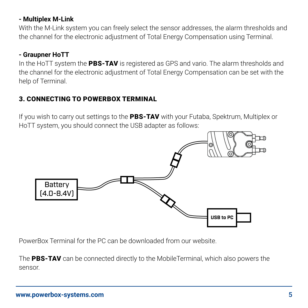#### **- Multiplex M-Link**

With the M-Link system you can freely select the sensor addresses, the alarm thresholds and the channel for the electronic adjustment of Total Energy Compensation using Terminal.

#### **- Graupner HoTT**

In the HoTT system the PBS-TAV is registered as GPS and vario. The alarm thresholds and the channel for the electronic adjustment of Total Energy Compensation can be set with the help of Terminal.

### 3. CONNECTING TO POWERBOX TERMINAL

If you wish to carry out settings to the PBS-TAV with your Futaba, Spektrum, Multiplex or HoTT system, you should connect the USB adapter as follows:



PowerBox Terminal for the PC can be downloaded from our website.

The PBS-TAV can be connected directly to the MobileTerminal, which also powers the sensor.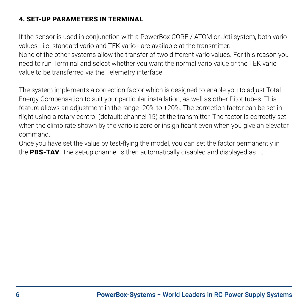# 4. SET-UP PARAMETERS IN TERMINAL

If the sensor is used in conjunction with a PowerBox CORE / ATOM or Jeti system, both vario values - i.e. standard vario and TEK vario - are available at the transmitter.

None of the other systems allow the transfer of two different vario values. For this reason you need to run Terminal and select whether you want the normal vario value or the TEK vario value to be transferred via the Telemetry interface.

The system implements a correction factor which is designed to enable you to adjust Total Energy Compensation to suit your particular installation, as well as other Pitot tubes. This feature allows an adjustment in the range -20% to +20%. The correction factor can be set in flight using a rotary control (default: channel 15) at the transmitter. The factor is correctly set when the climb rate shown by the vario is zero or insignificant even when you give an elevator command.

Once you have set the value by test-flying the model, you can set the factor permanently in the PBS-TAV. The set-up channel is then automatically disabled and displayed as  $-$ .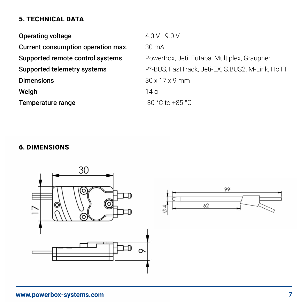# 5. TECHNICAL DATA

| $4.0 V - 9.0 V$                                               |
|---------------------------------------------------------------|
| $30 \text{ mA}$                                               |
| PowerBox, Jeti, Futaba, Multiplex, Graupner                   |
| P <sup>2</sup> -BUS, FastTrack, Jeti-EX, S.BUS2, M-Link, HoTT |
| $30 \times 17 \times 9$ mm                                    |
| 14 a                                                          |
| $-30$ °C to $+85$ °C                                          |
|                                                               |

# 6. DIMENSIONS

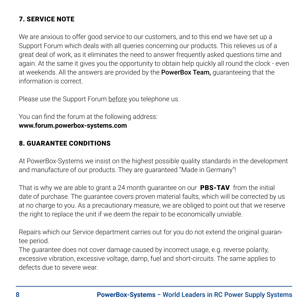# 7. SERVICE NOTE

We are anxious to offer good service to our customers, and to this end we have set up a Support Forum which deals with all queries concerning our products. This relieves us of a great deal of work, as it eliminates the need to answer frequently asked questions time and again. At the same it gives you the opportunity to obtain help quickly all round the clock - even at weekends. All the answers are provided by the **PowerBox Team**, guaranteeing that the information is correct.

Please use the Support Forum before you telephone us.

You can find the forum at the following address:

#### **www.forum.powerbox-systems.com**

#### 8. GUARANTEE CONDITIONS

At PowerBox-Systems we insist on the highest possible quality standards in the development and manufacture of our products. They are guaranteed "Made in Germany"!

That is why we are able to grant a 24 month guarantee on our PBS-TAV from the initial date of purchase. The guarantee covers proven material faults, which will be corrected by us at no charge to you. As a precautionary measure, we are obliged to point out that we reserve the right to replace the unit if we deem the repair to be economically unviable.

Repairs which our Service department carries out for you do not extend the original guarantee period.

The guarantee does not cover damage caused by incorrect usage, e.g. reverse polarity, excessive vibration, excessive voltage, damp, fuel and short-circuits. The same applies to defects due to severe wear.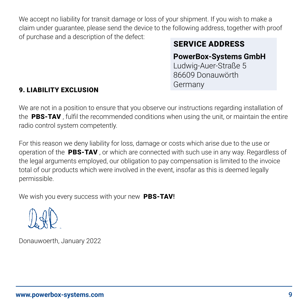We accept no liability for transit damage or loss of your shipment. If you wish to make a claim under guarantee, please send the device to the following address, together with proof of purchase and a description of the defect:

# SERVICE ADDRESS

# **PowerBox-Systems GmbH**

Ludwig-Auer-Straße 5 86609 Donauwörth Germany

### 9. LIABILITY EXCLUSION

We are not in a position to ensure that you observe our instructions regarding installation of the PBS-TAV . fulfil the recommended conditions when using the unit, or maintain the entire radio control system competently.

For this reason we deny liability for loss, damage or costs which arise due to the use or operation of the **PBS-TAV**, or which are connected with such use in any way. Regardless of the legal arguments employed, our obligation to pay compensation is limited to the invoice total of our products which were involved in the event, insofar as this is deemed legally permissible.

We wish you every success with your new PBS-TAV!

Donauwoerth, January 2022